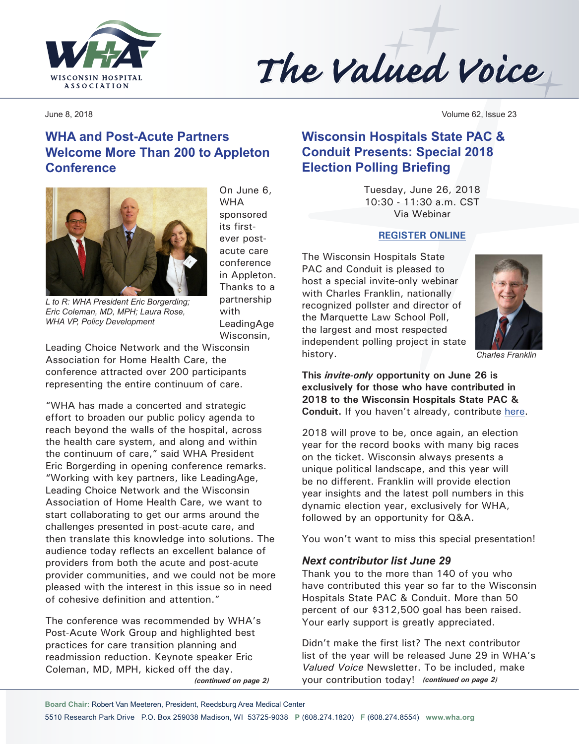



June 8, 2018 Volume 62, Issue 23

# **WHA and Post-Acute Partners Welcome More Than 200 to Appleton Conference**



On June 6, **WHA** sponsored its firstever postacute care conference in Appleton. Thanks to a partnership with LeadingAge Wisconsin,

*L to R: WHA President Eric Borgerding; Eric Coleman, MD, MPH; Laura Rose, WHA VP, Policy Development*

Leading Choice Network and the Wisconsin Association for Home Health Care, the conference attracted over 200 participants representing the entire continuum of care.

"WHA has made a concerted and strategic effort to broaden our public policy agenda to reach beyond the walls of the hospital, across the health care system, and along and within the continuum of care," said WHA President Eric Borgerding in opening conference remarks. "Working with key partners, like LeadingAge, Leading Choice Network and the Wisconsin Association of Home Health Care, we want to start collaborating to get our arms around the challenges presented in post-acute care, and then translate this knowledge into solutions. The audience today reflects an excellent balance of providers from both the acute and post-acute provider communities, and we could not be more pleased with the interest in this issue so in need of cohesive definition and attention."

The conference was recommended by WHA's Post-Acute Work Group and highlighted best practices for care transition planning and readmission reduction. Keynote speaker Eric Coleman, MD, MPH, kicked off the day.

**Wisconsin Hospitals State PAC & Conduit Presents: Special 2018 Election Polling Briefing** 

> Tuesday, June 26, 2018 10:30 - 11:30 a.m. CST Via Webinar

#### **[REGISTER ONLINE](http://www.whareg4.org/StatePACWebinar/Presenter.aspx)**

The Wisconsin Hospitals State PAC and Conduit is pleased to host a special invite-only webinar with Charles Franklin, nationally recognized pollster and director of the Marquette Law School Poll, the largest and most respected independent polling project in state history.



*Charles Franklin*

**This** *invite-only* **opportunity on June 26 is exclusively for those who have contributed in 2018 to the Wisconsin Hospitals State PAC & Conduit.** If you haven't already, contribute [here](http://www.whconduit.com/).

2018 will prove to be, once again, an election year for the record books with many big races on the ticket. Wisconsin always presents a unique political landscape, and this year will be no different. Franklin will provide election year insights and the latest poll numbers in this dynamic election year, exclusively for WHA, followed by an opportunity for Q&A.

You won't want to miss this special presentation!

### *Next contributor list June 29*

Thank you to the more than 140 of you who have contributed this year so far to the Wisconsin Hospitals State PAC & Conduit. More than 50 percent of our \$312,500 goal has been raised. Your early support is greatly appreciated.

Didn't make the first list? The next contributor list of the year will be released June 29 in WHA's *Valued Voice* Newsletter. To be included, make *(continued on page 2)* your contribution today! *(continued on page 2)*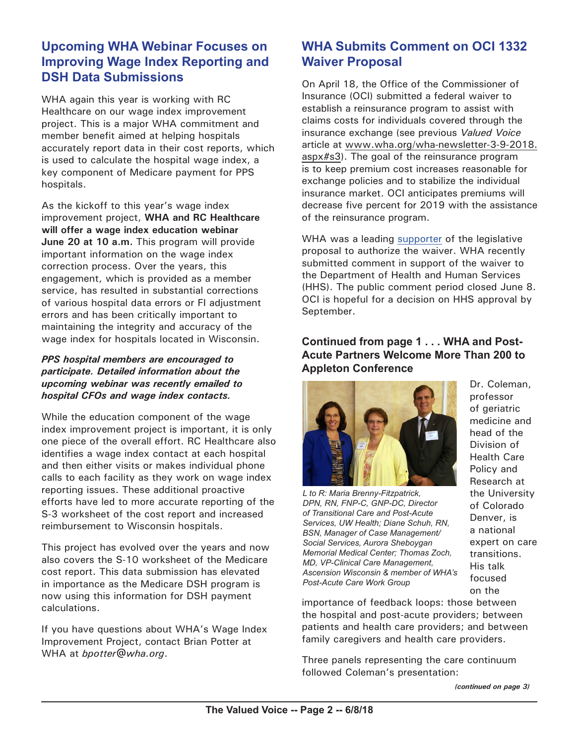## **Upcoming WHA Webinar Focuses on Improving Wage Index Reporting and DSH Data Submissions**

WHA again this year is working with RC Healthcare on our wage index improvement project. This is a major WHA commitment and member benefit aimed at helping hospitals accurately report data in their cost reports, which is used to calculate the hospital wage index, a key component of Medicare payment for PPS hospitals.

As the kickoff to this year's wage index improvement project, **WHA and RC Healthcare will offer a wage index education webinar June 20 at 10 a.m.** This program will provide important information on the wage index correction process. Over the years, this engagement, which is provided as a member service, has resulted in substantial corrections of various hospital data errors or FI adjustment errors and has been critically important to maintaining the integrity and accuracy of the wage index for hospitals located in Wisconsin.

### *PPS hospital members are encouraged to participate. Detailed information about the upcoming webinar was recently emailed to hospital CFOs and wage index contacts.*

While the education component of the wage index improvement project is important, it is only one piece of the overall effort. RC Healthcare also identifies a wage index contact at each hospital and then either visits or makes individual phone calls to each facility as they work on wage index reporting issues. These additional proactive efforts have led to more accurate reporting of the S-3 worksheet of the cost report and increased reimbursement to Wisconsin hospitals.

This project has evolved over the years and now also covers the S-10 worksheet of the Medicare cost report. This data submission has elevated in importance as the Medicare DSH program is now using this information for DSH payment calculations.

If you have questions about WHA's Wage Index Improvement Project, contact Brian Potter at WHA at *bpotter@wha.org*.

# **WHA Submits Comment on OCI 1332 Waiver Proposal**

On April 18, the Office of the Commissioner of Insurance (OCI) submitted a federal waiver to establish a reinsurance program to assist with claims costs for individuals covered through the insurance exchange (see previous *Valued Voice* article at www.wha.org/wha-newsletter-3-9-2018. aspx#s3). The goal of the reinsurance program is to keep premium cost increases reasonable for exchange policies and to stabilize the individual insurance market. OCI anticipates premiums will decrease five percent for 2019 with the assistance of the reinsurance program.

WHA was a leading [supporter](http://www.wha.org/Data/Sites/1/pubarchive/news_releases/whanr2-27-18reinsurancesigning.pdf) of the legislative proposal to authorize the waiver. WHA recently submitted comment in support of the waiver to the Department of Health and Human Services (HHS). The public comment period closed June 8. OCI is hopeful for a decision on HHS approval by September.

### **Continued from page 1 . . . WHA and Post-Acute Partners Welcome More Than 200 to Appleton Conference**



*L to R: Maria Brenny-Fitzpatrick, DPN, RN, FNP-C, GNP-DC, Director of Transitional Care and Post-Acute Services, UW Health; Diane Schuh, RN, BSN, Manager of Case Management/ Social Services, Aurora Sheboygan Memorial Medical Center; Thomas Zoch, MD, VP-Clinical Care Management, Ascension Wisconsin & member of WHA's Post-Acute Care Work Group* 

Dr. Coleman, professor of geriatric medicine and head of the Division of Health Care Policy and Research at the University of Colorado Denver, is a national expert on care transitions. His talk focused on the

importance of feedback loops: those between the hospital and post-acute providers; between patients and health care providers; and between family caregivers and health care providers.

Three panels representing the care continuum followed Coleman's presentation:

*(continued on page 3)*